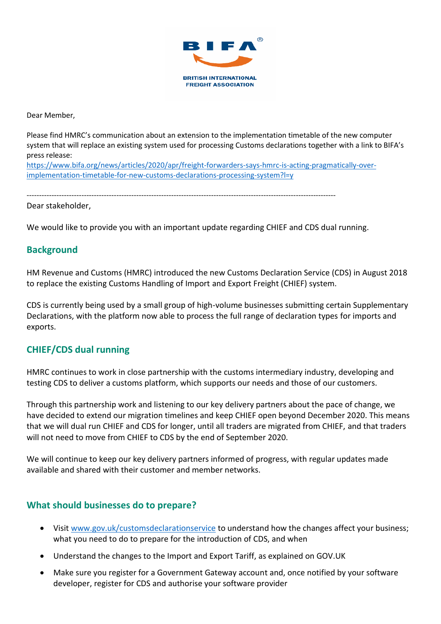

Dear Member,

Please find HMRC's communication about an extension to the implementation timetable of the new computer system that will replace an existing system used for processing Customs declarations together with a link to BIFA's press release:

[https://www.bifa.org/news/articles/2020/apr/freight-forwarders-says-hmrc-is-acting-pragmatically-over](https://www.bifa.org/news/articles/2020/apr/freight-forwarders-says-hmrc-is-acting-pragmatically-over-implementation-timetable-for-new-customs-declarations-processing-system?l=y)[implementation-timetable-for-new-customs-declarations-processing-system?l=y](https://www.bifa.org/news/articles/2020/apr/freight-forwarders-says-hmrc-is-acting-pragmatically-over-implementation-timetable-for-new-customs-declarations-processing-system?l=y)

----------------------------------------------------------------------------------------------------------------------------

Dear stakeholder,

We would like to provide you with an important update regarding CHIEF and CDS dual running.

### **Background**

HM Revenue and Customs (HMRC) introduced the new Customs Declaration Service (CDS) in August 2018 to replace the existing Customs Handling of Import and Export Freight (CHIEF) system.

CDS is currently being used by a small group of high-volume businesses submitting certain Supplementary Declarations, with the platform now able to process the full range of declaration types for imports and exports.

### **CHIEF/CDS dual running**

HMRC continues to work in close partnership with the customs intermediary industry, developing and testing CDS to deliver a customs platform, which supports our needs and those of our customers.

Through this partnership work and listening to our key delivery partners about the pace of change, we have decided to extend our migration timelines and keep CHIEF open beyond December 2020. This means that we will dual run CHIEF and CDS for longer, until all traders are migrated from CHIEF, and that traders will not need to move from CHIEF to CDS by the end of September 2020.

We will continue to keep our key delivery partners informed of progress, with regular updates made available and shared with their customer and member networks.

### **What should businesses do to prepare?**

- Visi[t www.gov.uk/customsdeclarationservice](http://www.gov.uk/customsdeclarationservice) to understand how the changes affect your business; what you need to do to prepare for the introduction of CDS, and when
- Understand the changes to the Import and Export Tariff, as explained on GOV.UK
- Make sure you register for a Government Gateway account and, once notified by your software developer, register for CDS and authorise your software provider